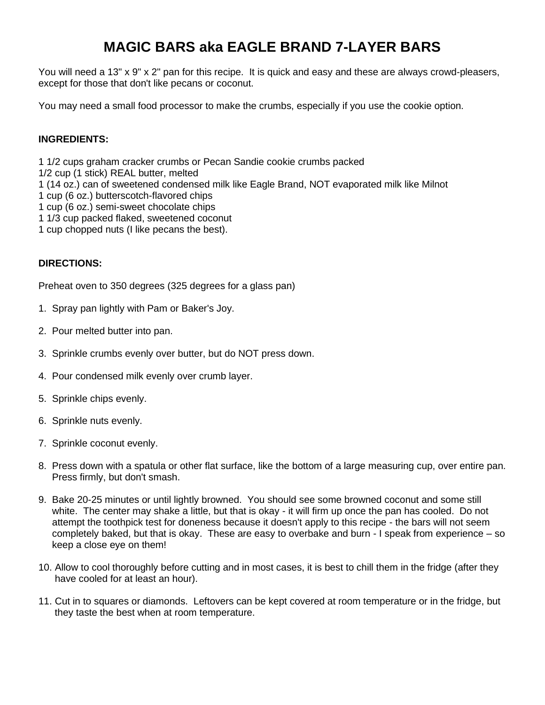## **MAGIC BARS aka EAGLE BRAND 7-LAYER BARS**

You will need a 13" x 9" x 2" pan for this recipe. It is quick and easy and these are always crowd-pleasers, except for those that don't like pecans or coconut.

You may need a small food processor to make the crumbs, especially if you use the cookie option.

## **INGREDIENTS:**

1 1/2 cups graham cracker crumbs or Pecan Sandie cookie crumbs packed

- 1/2 cup (1 stick) REAL butter, melted
- 1 (14 oz.) can of sweetened condensed milk like Eagle Brand, NOT evaporated milk like Milnot
- 1 cup (6 oz.) butterscotch-flavored chips
- 1 cup (6 oz.) semi-sweet chocolate chips
- 1 1/3 cup packed flaked, sweetened coconut
- 1 cup chopped nuts (I like pecans the best).

## **DIRECTIONS:**

Preheat oven to 350 degrees (325 degrees for a glass pan)

- 1. Spray pan lightly with Pam or Baker's Joy.
- 2. Pour melted butter into pan.
- 3. Sprinkle crumbs evenly over butter, but do NOT press down.
- 4. Pour condensed milk evenly over crumb layer.
- 5. Sprinkle chips evenly.
- 6. Sprinkle nuts evenly.
- 7. Sprinkle coconut evenly.
- 8. Press down with a spatula or other flat surface, like the bottom of a large measuring cup, over entire pan. Press firmly, but don't smash.
- 9. Bake 20-25 minutes or until lightly browned. You should see some browned coconut and some still white. The center may shake a little, but that is okay - it will firm up once the pan has cooled. Do not attempt the toothpick test for doneness because it doesn't apply to this recipe - the bars will not seem completely baked, but that is okay. These are easy to overbake and burn - I speak from experience – so keep a close eye on them!
- 10. Allow to cool thoroughly before cutting and in most cases, it is best to chill them in the fridge (after they have cooled for at least an hour).
- 11. Cut in to squares or diamonds. Leftovers can be kept covered at room temperature or in the fridge, but they taste the best when at room temperature.